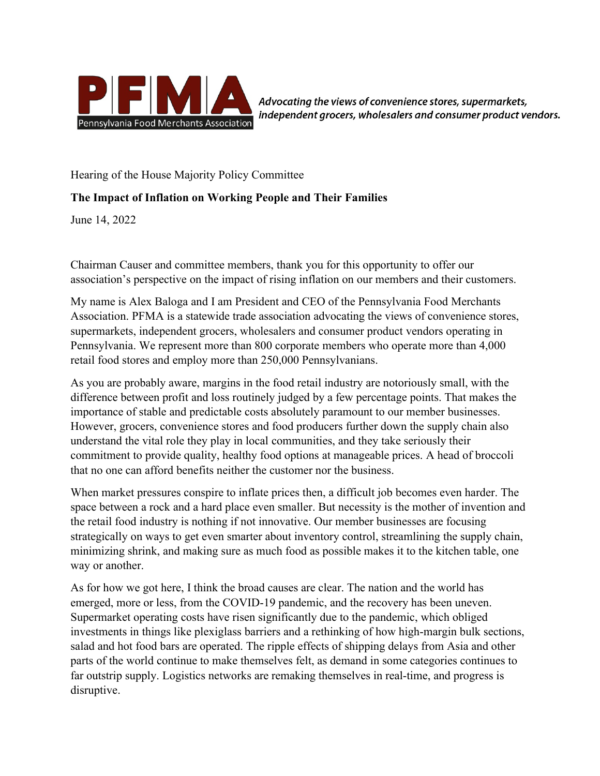

Advocating the views of convenience stores, supermarkets, independent grocers, wholesalers and consumer product vendors.

Hearing of the House Majority Policy Committee

## **The Impact of Inflation on Working People and Their Families**

June 14, 2022

Chairman Causer and committee members, thank you for this opportunity to offer our association's perspective on the impact of rising inflation on our members and their customers.

My name is Alex Baloga and I am President and CEO of the Pennsylvania Food Merchants Association. PFMA is a statewide trade association advocating the views of convenience stores, supermarkets, independent grocers, wholesalers and consumer product vendors operating in Pennsylvania. We represent more than 800 corporate members who operate more than 4,000 retail food stores and employ more than 250,000 Pennsylvanians.

As you are probably aware, margins in the food retail industry are notoriously small, with the difference between profit and loss routinely judged by a few percentage points. That makes the importance of stable and predictable costs absolutely paramount to our member businesses. However, grocers, convenience stores and food producers further down the supply chain also understand the vital role they play in local communities, and they take seriously their commitment to provide quality, healthy food options at manageable prices. A head of broccoli that no one can afford benefits neither the customer nor the business.

When market pressures conspire to inflate prices then, a difficult job becomes even harder. The space between a rock and a hard place even smaller. But necessity is the mother of invention and the retail food industry is nothing if not innovative. Our member businesses are focusing strategically on ways to get even smarter about inventory control, streamlining the supply chain, minimizing shrink, and making sure as much food as possible makes it to the kitchen table, one way or another.

As for how we got here, I think the broad causes are clear. The nation and the world has emerged, more or less, from the COVID-19 pandemic, and the recovery has been uneven. Supermarket operating costs have risen significantly due to the pandemic, which obliged investments in things like plexiglass barriers and a rethinking of how high-margin bulk sections, salad and hot food bars are operated. The ripple effects of shipping delays from Asia and other parts of the world continue to make themselves felt, as demand in some categories continues to far outstrip supply. Logistics networks are remaking themselves in real-time, and progress is disruptive.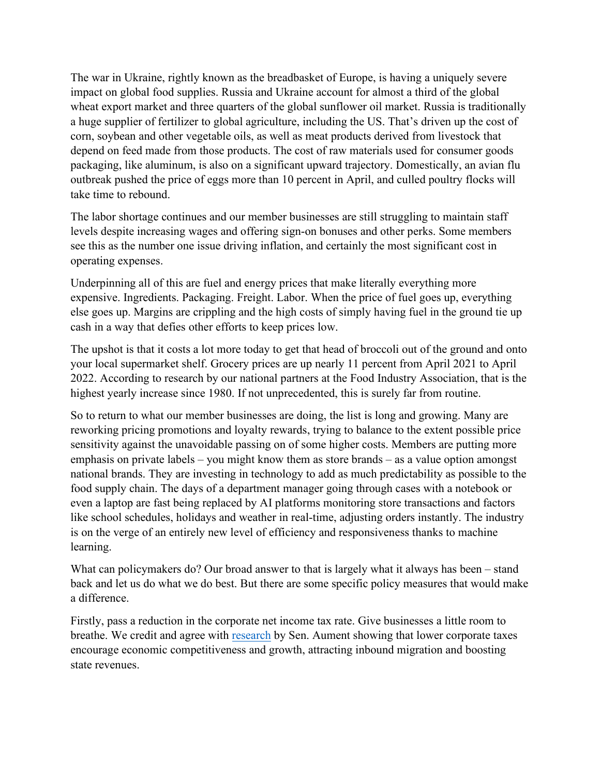The war in Ukraine, rightly known as the breadbasket of Europe, is having a uniquely severe impact on global food supplies. Russia and Ukraine account for almost a third of the global wheat export market and three quarters of the global sunflower oil market. Russia is traditionally a huge supplier of fertilizer to global agriculture, including the US. That's driven up the cost of corn, soybean and other vegetable oils, as well as meat products derived from livestock that depend on feed made from those products. The cost of raw materials used for consumer goods packaging, like aluminum, is also on a significant upward trajectory. Domestically, an avian flu outbreak pushed the price of eggs more than 10 percent in April, and culled poultry flocks will take time to rebound.

The labor shortage continues and our member businesses are still struggling to maintain staff levels despite increasing wages and offering sign-on bonuses and other perks. Some members see this as the number one issue driving inflation, and certainly the most significant cost in operating expenses.

Underpinning all of this are fuel and energy prices that make literally everything more expensive. Ingredients. Packaging. Freight. Labor. When the price of fuel goes up, everything else goes up. Margins are crippling and the high costs of simply having fuel in the ground tie up cash in a way that defies other efforts to keep prices low.

The upshot is that it costs a lot more today to get that head of broccoli out of the ground and onto your local supermarket shelf. Grocery prices are up nearly 11 percent from April 2021 to April 2022. According to research by our national partners at the Food Industry Association, that is the highest yearly increase since 1980. If not unprecedented, this is surely far from routine.

So to return to what our member businesses are doing, the list is long and growing. Many are reworking pricing promotions and loyalty rewards, trying to balance to the extent possible price sensitivity against the unavoidable passing on of some higher costs. Members are putting more emphasis on private labels – you might know them as store brands – as a value option amongst national brands. They are investing in technology to add as much predictability as possible to the food supply chain. The days of a department manager going through cases with a notebook or even a laptop are fast being replaced by AI platforms monitoring store transactions and factors like school schedules, holidays and weather in real-time, adjusting orders instantly. The industry is on the verge of an entirely new level of efficiency and responsiveness thanks to machine learning.

What can policymakers do? Our broad answer to that is largely what it always has been – stand back and let us do what we do best. But there are some specific policy measures that would make a difference.

Firstly, pass a reduction in the corporate net income tax rate. Give businesses a little room to breathe. We credit and agree with [research](https://www.senatoraument.com/wp-content/uploads/sites/69/2021/06/CNI-research.pdf) by Sen. Aument showing that lower corporate taxes encourage economic competitiveness and growth, attracting inbound migration and boosting state revenues.